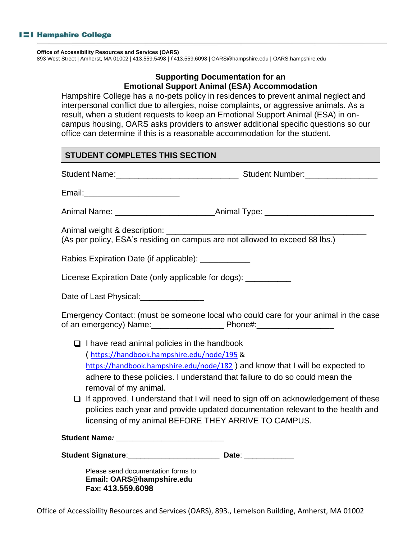#### **Office of Accessibility Resources and Services (OARS)**

893 West Street | Amherst, MA 01002 | 413.559.5498 | *f* 413.559.6098 | OARS@hampshire.edu | OARS.hampshire.edu

## **Supporting Documentation for an Emotional Support Animal (ESA) Accommodation**

Hampshire College has a no-pets policy in residences to prevent animal neglect and interpersonal conflict due to allergies, noise complaints, or aggressive animals. As a result, when a student requests to keep an Emotional Support Animal (ESA) in oncampus housing, OARS asks providers to answer additional specific questions so our office can determine if this is a reasonable accommodation for the student.

## **STUDENT COMPLETES THIS SECTION**

| Email:____________________________                                                                                              |                                                                                                                                                                                                                                                                                                                                                                                              |
|---------------------------------------------------------------------------------------------------------------------------------|----------------------------------------------------------------------------------------------------------------------------------------------------------------------------------------------------------------------------------------------------------------------------------------------------------------------------------------------------------------------------------------------|
|                                                                                                                                 |                                                                                                                                                                                                                                                                                                                                                                                              |
|                                                                                                                                 |                                                                                                                                                                                                                                                                                                                                                                                              |
| Rabies Expiration Date (if applicable): _____________                                                                           |                                                                                                                                                                                                                                                                                                                                                                                              |
| License Expiration Date (only applicable for dogs): __________                                                                  |                                                                                                                                                                                                                                                                                                                                                                                              |
| Date of Last Physical:<br><u>[</u> [11][12] Date of Last Physical:                                                              |                                                                                                                                                                                                                                                                                                                                                                                              |
|                                                                                                                                 | Emergency Contact: (must be someone local who could care for your animal in the case                                                                                                                                                                                                                                                                                                         |
| $\Box$ I have read animal policies in the handbook<br>(https://handbook.hampshire.edu/node/195 &<br>removal of my animal.<br>Q. | https://handbook.hampshire.edu/node/182) and know that I will be expected to<br>adhere to these policies. I understand that failure to do so could mean the<br>If approved, I understand that I will need to sign off on acknowledgement of these<br>policies each year and provide updated documentation relevant to the health and<br>licensing of my animal BEFORE THEY ARRIVE TO CAMPUS. |
| Student Name: Manner And Allen Manner And Allen Manner And Allen Manner And Allen Manner And Allen Manner And                   |                                                                                                                                                                                                                                                                                                                                                                                              |
| Student Signature: ________________________________ Date: ______________________                                                |                                                                                                                                                                                                                                                                                                                                                                                              |
| Please send documentation forms to:<br>Email: OARS@hampshire.edu                                                                |                                                                                                                                                                                                                                                                                                                                                                                              |

**Fax: 413.559.6098**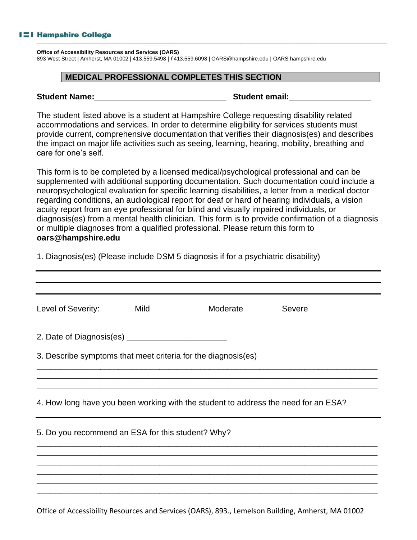**Office of Accessibility Resources and Services (OARS)** 

893 West Street | Amherst, MA 01002 | 413.559.5498 | *f* 413.559.6098 | OARS@hampshire.edu | OARS.hampshire.edu

#### **MEDICAL PROFESSIONAL COMPLETES THIS SECTION**

| <b>Student Name:</b> |  |  |
|----------------------|--|--|
|----------------------|--|--|

**Student email:** 

The student listed above is a student at Hampshire College requesting disability related accommodations and services. In order to determine eligibility for services students must provide current, comprehensive documentation that verifies their diagnosis(es) and describes the impact on major life activities such as seeing, learning, hearing, mobility, breathing and care for one's self.

This form is to be completed by a licensed medical/psychological professional and can be supplemented with additional supporting documentation. Such documentation could include a neuropsychological evaluation for specific learning disabilities, a letter from a medical doctor regarding conditions, an audiological report for deaf or hard of hearing individuals, a vision acuity report from an eye professional for blind and visually impaired individuals, or diagnosis(es) from a mental health clinician. This form is to provide confirmation of a diagnosis or multiple diagnoses from a qualified professional. Please return this form to **oars@hampshire.edu**

| 1. Diagnosis(es) (Please include DSM 5 diagnosis if for a psychiatric disability) |  |
|-----------------------------------------------------------------------------------|--|
|                                                                                   |  |

| Level of Severity:                                                                 | Mild | Moderate                                                      | Severe |  |  |
|------------------------------------------------------------------------------------|------|---------------------------------------------------------------|--------|--|--|
|                                                                                    |      |                                                               |        |  |  |
|                                                                                    |      | 3. Describe symptoms that meet criteria for the diagnosis(es) |        |  |  |
|                                                                                    |      |                                                               |        |  |  |
| 4. How long have you been working with the student to address the need for an ESA? |      |                                                               |        |  |  |
| 5. Do you recommend an ESA for this student? Why?                                  |      |                                                               |        |  |  |
|                                                                                    |      |                                                               |        |  |  |
|                                                                                    |      |                                                               |        |  |  |
|                                                                                    |      |                                                               |        |  |  |

Office of Accessibility Resources and Services (OARS), 893., Lemelson Building, Amherst, MA 01002